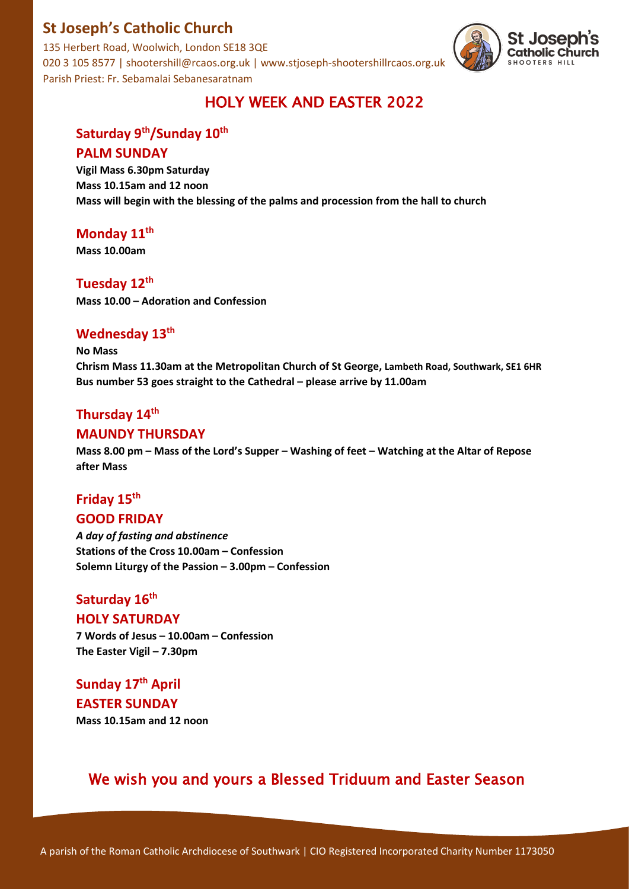### **St Joseph's Catholic Church**

135 Herbert Road, Woolwich, London SE18 3QE 020 3 105 8577 | shootershill@rcaos.org.uk | www.stjoseph-shootershillrcaos.org.uk Parish Priest: Fr. Sebamalai Sebanesaratnam



### HOLY WEEK AND EASTER 2022

# Saturday 9<sup>th</sup>/Sunday 10<sup>th</sup> **PALM SUNDAY**

**Vigil Mass 6.30pm Saturday Mass 10.15am and 12 noon Mass will begin with the blessing of the palms and procession from the hall to church**

### **Monday 11th**

**Mass 10.00am**

#### **Tuesday 12th**

**Mass 10.00 – Adoration and Confession**

### **Wednesday 13th**

**No Mass**

**Chrism Mass 11.30am at the Metropolitan Church of St George, Lambeth Road, Southwark, SE1 6HR Bus number 53 goes straight to the Cathedral – please arrive by 11.00am**

### **Thursday 14th**

#### **MAUNDY THURSDAY**

**Mass 8.00 pm – Mass of the Lord's Supper – Washing of feet – Watching at the Altar of Repose after Mass** 

### **Friday 15th GOOD FRIDAY**

*A day of fasting and abstinence* **Stations of the Cross 10.00am – Confession Solemn Liturgy of the Passion – 3.00pm – Confession** 

# **Saturday 16th**

#### **HOLY SATURDAY**

**7 Words of Jesus – 10.00am – Confession The Easter Vigil – 7.30pm** 

# **Sunday 17th April**

# **EASTER SUNDAY**

**Mass 10.15am and 12 noon** 

# We wish you and yours a Blessed Triduum and Easter Season